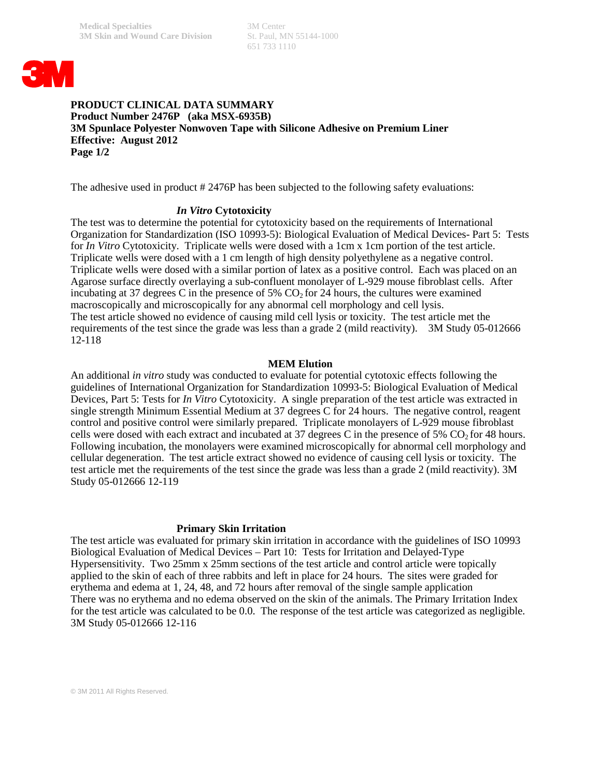651 733 1110



# **PRODUCT CLINICAL DATA SUMMARY Product Number 2476P (aka MSX-6935B) 3M Spunlace Polyester Nonwoven Tape with Silicone Adhesive on Premium Liner Effective: August 2012 Page 1/2**

The adhesive used in product # 2476P has been subjected to the following safety evaluations:

### *In Vitro* **Cytotoxicity**

The test was to determine the potential for cytotoxicity based on the requirements of International Organization for Standardization (ISO 10993-5): Biological Evaluation of Medical Devices- Part 5: Tests for *In Vitro* Cytotoxicity. Triplicate wells were dosed with a 1cm x 1cm portion of the test article. Triplicate wells were dosed with a 1 cm length of high density polyethylene as a negative control. Triplicate wells were dosed with a similar portion of latex as a positive control. Each was placed on an Agarose surface directly overlaying a sub-confluent monolayer of L-929 mouse fibroblast cells. After incubating at 37 degrees C in the presence of 5%  $CO<sub>2</sub>$  for 24 hours, the cultures were examined macroscopically and microscopically for any abnormal cell morphology and cell lysis. The test article showed no evidence of causing mild cell lysis or toxicity. The test article met the requirements of the test since the grade was less than a grade 2 (mild reactivity). 3M Study 05-012666 12-118

#### **MEM Elution**

An additional *in vitro* study was conducted to evaluate for potential cytotoxic effects following the guidelines of International Organization for Standardization 10993-5: Biological Evaluation of Medical Devices, Part 5: Tests for *In Vitro* Cytotoxicity. A single preparation of the test article was extracted in single strength Minimum Essential Medium at 37 degrees C for 24 hours. The negative control, reagent control and positive control were similarly prepared. Triplicate monolayers of L-929 mouse fibroblast cells were dosed with each extract and incubated at 37 degrees C in the presence of 5%  $CO<sub>2</sub>$  for 48 hours. Following incubation, the monolayers were examined microscopically for abnormal cell morphology and cellular degeneration. The test article extract showed no evidence of causing cell lysis or toxicity. The test article met the requirements of the test since the grade was less than a grade 2 (mild reactivity). 3M Study 05-012666 12-119

#### **Primary Skin Irritation**

The test article was evaluated for primary skin irritation in accordance with the guidelines of ISO 10993 Biological Evaluation of Medical Devices – Part 10: Tests for Irritation and Delayed-Type Hypersensitivity. Two 25mm x 25mm sections of the test article and control article were topically applied to the skin of each of three rabbits and left in place for 24 hours. The sites were graded for erythema and edema at 1, 24, 48, and 72 hours after removal of the single sample application There was no erythema and no edema observed on the skin of the animals. The Primary Irritation Index for the test article was calculated to be 0.0. The response of the test article was categorized as negligible. 3M Study 05-012666 12-116